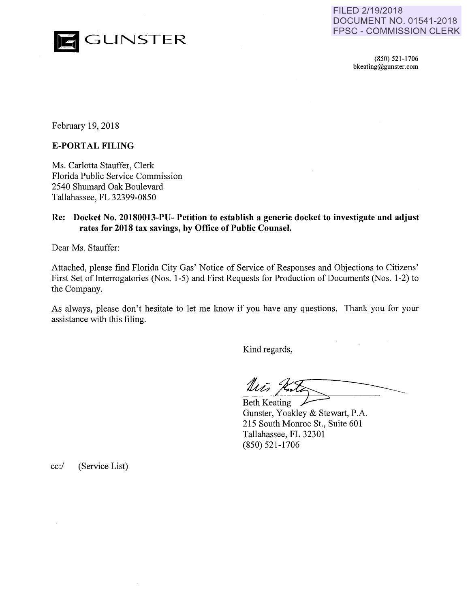

FILED 2/19/2018 **DOCUMENT NO. 01541-2018 FPSC - COMMISSION CLERK** 

> (850) 521-1706 bkeating@gunster. com

February 19, 2018

### **E-PORTAL FILING**

Ms. Carlotta Stauffer, Clerk Florida Public Service Commission *2540* Shumard Oak Boulevard Tallahassee, FL 32399-0850

## **Re: Docket No. 20180013-PU- Petition to establish a generic docket to investigate and adjust rates for 2018 tax savings, by Office of Public Counsel.**

Dear Ms. Stauffer:

Attached, please find Florida City Gas' Notice of Service of Responses and Objections to Citizens' First Set of Interrogatories (Nos. 1-5) and First Requests for Production of Documents (Nos. 1-2) to the Company.

As always, please don't hesitate to let me know if you have any questions. Thank you for your assistance with this filing.

Kind regards,

 $\frac{m}{\pi}$   $\frac{m}{\pi}$ <br>Beth Keating

Gunster, Yoakley & Stewart, P.A. 215 South Monroe St., Suite 601 Tallahassee, FL 32301 (850) 521-1706

cc:/ (Service List)

 $\bar{z}$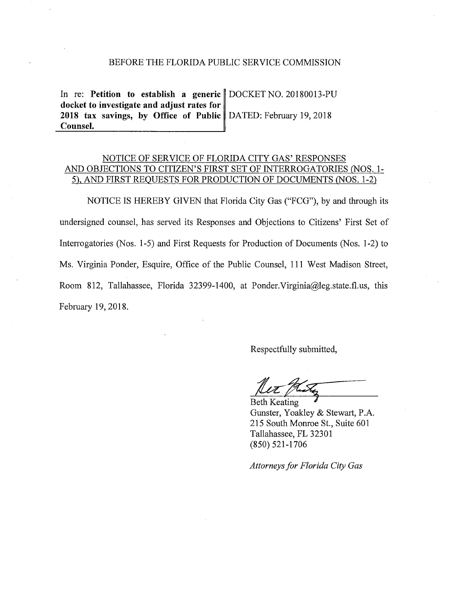#### BEFORE THE FLORIDA PUBLIC SERVICE COMMISSION

In re: Petition to establish a generic DOCKET NO. 20180013-PU docket to investigate and adjust rates for 2018 tax savings, by Office of Public DATED: February 19, 2018 Counsel.

# NOTICE OF SERVICE OF FLORIDA CITY GAS' RESPONSES AND OBJECTIONS TO CITIZEN'S FIRST SET OF INTERROGATORIES (NOS. 1- 5), AND FIRST REQUESTS FOR PRODUCTION OF DOCUMENTS (NOS. 1-2)

NOTICE IS HEREBY GIVEN that Florida City Gas ("FCG"), by and through its undersigned counsel, has served its Responses and Objections to Citizens' First Set of Intenogatories (Nos. 1-5) and First Requests for Production of Documents (Nos. 1-2) to Ms. Virginia Ponder, Esquire, Office of the Public Counsel, 111 West Madison Street, Room 812, Tallahassee, Florida 32399-1400, at Ponder. Virginia@leg.state.fl.us, this February 19,2018.

Respectfully submitted,

Beth Keating<br>Gunster, Yoakley & Stewart, P.A. 215 South Momoe St., Suite 601 Tallahassee, FL 32301 (850) 521-1706

*Attorneys for Florida City Gas*